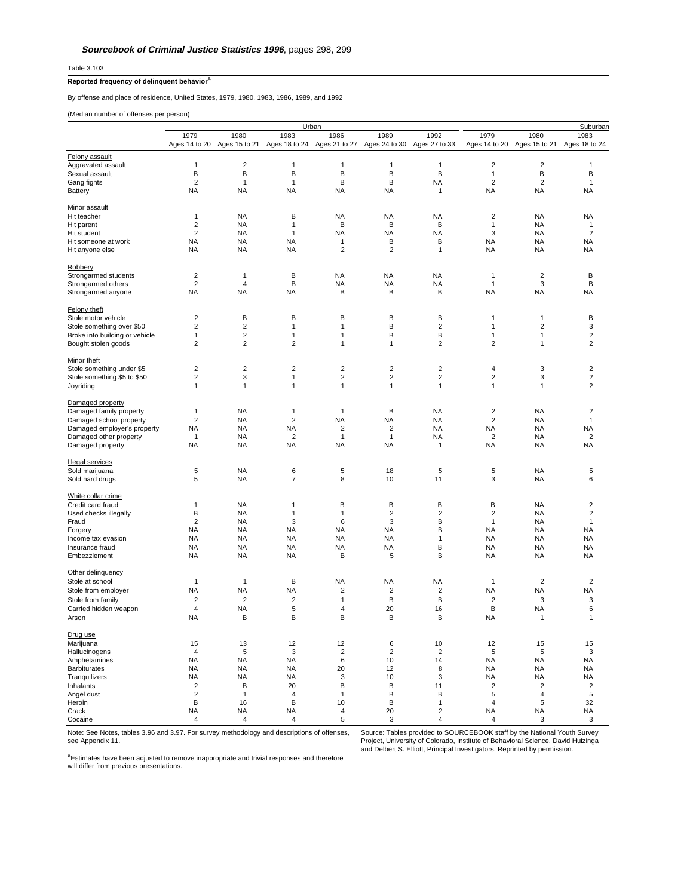Table 3.103

## **Reported frequency of delinquent behavior**<sup>a</sup>

By offense and place of residence, United States, 1979, 1980, 1983, 1986, 1989, and 1992

(Median number of offenses per person)

|                                                          |                |                |                | Urban                       |                         |                         |                         |                         | Suburban                |
|----------------------------------------------------------|----------------|----------------|----------------|-----------------------------|-------------------------|-------------------------|-------------------------|-------------------------|-------------------------|
|                                                          | 1979           | 1980           | 1983           | 1986                        | 1989                    | 1992                    | 1979                    | 1980                    | 1983                    |
|                                                          | Ages 14 to 20  | Ages 15 to 21  |                | Ages 18 to 24 Ages 21 to 27 | Ages 24 to 30           | Ages 27 to 33           | Ages 14 to 20           | Ages 15 to 21           | Ages 18 to 24           |
|                                                          |                |                |                |                             |                         |                         |                         |                         |                         |
| Felony assault                                           |                |                |                |                             |                         |                         |                         |                         |                         |
| Aggravated assault                                       | $\mathbf{1}$   | $\overline{2}$ | 1              | 1                           | 1                       | 1                       | $\overline{\mathbf{c}}$ | $\overline{2}$          | 1                       |
| Sexual assault                                           | В              | В              | B              | В                           | В                       | B                       | $\mathbf{1}$            | В                       | B                       |
| Gang fights                                              | $\overline{2}$ | 1              | $\mathbf{1}$   | B                           | B                       | <b>NA</b>               | $\overline{2}$          | $\overline{2}$          | $\mathbf{1}$            |
| Battery                                                  | <b>NA</b>      | <b>NA</b>      | <b>NA</b>      | <b>NA</b>                   | <b>NA</b>               | 1                       | <b>NA</b>               | <b>NA</b>               | NA                      |
|                                                          |                |                |                |                             |                         |                         |                         |                         |                         |
| Minor assault                                            |                |                |                |                             |                         |                         |                         |                         |                         |
| Hit teacher                                              | $\mathbf{1}$   | <b>NA</b>      | В              | <b>NA</b>                   | <b>NA</b>               | <b>NA</b>               | 2                       | <b>NA</b>               | <b>NA</b>               |
| Hit parent                                               | $\overline{2}$ | <b>NA</b>      | 1              | B                           | B                       | B                       | 1                       | <b>NA</b>               | 1                       |
| Hit student                                              | $\overline{2}$ | <b>NA</b>      | $\mathbf{1}$   | <b>NA</b>                   | <b>NA</b>               | <b>NA</b>               | 3                       | NA                      | $\overline{2}$          |
| Hit someone at work                                      | <b>NA</b>      | <b>NA</b>      | <b>NA</b>      | 1                           | В                       | B                       | NA                      | <b>NA</b>               | NA                      |
| Hit anyone else                                          | <b>NA</b>      | <b>NA</b>      | <b>NA</b>      | $\overline{2}$              | $\overline{2}$          | 1                       | <b>NA</b>               | NA                      | <b>NA</b>               |
|                                                          |                |                |                |                             |                         |                         |                         |                         |                         |
| <b>Robbery</b>                                           |                |                |                |                             |                         |                         |                         |                         |                         |
| Strongarmed students                                     | $\overline{2}$ | 1              | B              | <b>NA</b>                   | <b>NA</b>               | NA                      | 1                       | $\overline{c}$          | B                       |
| Strongarmed others                                       | $\overline{2}$ | $\overline{4}$ | B              | <b>NA</b>                   | NA                      | <b>NA</b>               | 1                       | 3                       | B                       |
| Strongarmed anyone                                       | <b>NA</b>      | <b>NA</b>      | NA             | B                           | B                       | B                       | <b>NA</b>               | <b>NA</b>               | NA                      |
|                                                          |                |                |                |                             |                         |                         |                         |                         |                         |
| Felony theft                                             |                |                |                |                             |                         |                         |                         |                         |                         |
| Stole motor vehicle                                      | $\overline{2}$ | В              | B              | в                           | B                       | B                       | 1                       | 1                       | B                       |
| Stole something over \$50                                | $\overline{2}$ | $\overline{2}$ | 1              | 1                           | В                       | $\overline{2}$          | 1                       | $\overline{\mathbf{c}}$ | 3                       |
| Broke into building or vehicle                           | $\mathbf{1}$   | $\overline{2}$ | 1              | 1                           | B                       | B                       | 1                       | 1                       | $\overline{2}$          |
| Bought stolen goods                                      | $\overline{2}$ | $\overline{2}$ | $\overline{2}$ | 1                           | 1                       | 2                       | $\overline{2}$          | 1                       | $\overline{2}$          |
|                                                          |                |                |                |                             |                         |                         |                         |                         |                         |
| Minor theft                                              |                |                |                |                             |                         |                         |                         |                         |                         |
|                                                          | $\overline{2}$ | $\overline{2}$ | $\overline{2}$ | $\overline{2}$              | $\overline{2}$          | $\overline{2}$          | 4                       | 3                       | $\overline{2}$          |
| Stole something under \$5<br>Stole something \$5 to \$50 | $\overline{2}$ | 3              | 1              | $\overline{\mathbf{c}}$     | 2                       | 2                       | 2                       | 3                       | $\overline{\mathbf{c}}$ |
|                                                          |                |                |                |                             |                         |                         |                         |                         | $\overline{2}$          |
| Joyriding                                                | $\mathbf{1}$   | 1              | $\mathbf{1}$   | $\mathbf{1}$                | $\mathbf{1}$            | 1                       | $\mathbf{1}$            | 1                       |                         |
|                                                          |                |                |                |                             |                         |                         |                         |                         |                         |
| Damaged property                                         |                |                |                |                             |                         |                         |                         |                         |                         |
| Damaged family property                                  | $\mathbf{1}$   | <b>NA</b>      | 1              | $\mathbf{1}$                | B                       | <b>NA</b>               | $\overline{\mathbf{c}}$ | <b>NA</b>               | $\overline{\mathbf{c}}$ |
| Damaged school property                                  | $\overline{2}$ | <b>NA</b>      | $\overline{2}$ | <b>NA</b>                   | <b>NA</b>               | NA                      | $\overline{2}$          | <b>NA</b>               | 1                       |
| Damaged employer's property                              | NA             | <b>NA</b>      | <b>NA</b>      | $\overline{2}$              | $\overline{2}$          | <b>NA</b>               | NA                      | NA                      | NA                      |
| Damaged other property                                   | $\mathbf{1}$   | NA             | $\overline{2}$ | $\mathbf{1}$                | 1                       | <b>NA</b>               | $\overline{2}$          | <b>NA</b>               | $\overline{2}$          |
| Damaged property                                         | <b>NA</b>      | <b>NA</b>      | <b>NA</b>      | <b>NA</b>                   | <b>NA</b>               | 1                       | <b>NA</b>               | <b>NA</b>               | NA                      |
|                                                          |                |                |                |                             |                         |                         |                         |                         |                         |
| Illegal services                                         |                |                |                |                             |                         |                         |                         |                         |                         |
| Sold marijuana                                           | 5              | <b>NA</b>      | 6              | 5                           | 18                      | 5                       | 5                       | <b>NA</b>               | 5                       |
| Sold hard drugs                                          | 5              | <b>NA</b>      | $\overline{7}$ | 8                           | 10                      | 11                      | 3                       | <b>NA</b>               | 6                       |
|                                                          |                |                |                |                             |                         |                         |                         |                         |                         |
| White collar crime                                       |                |                |                |                             |                         |                         |                         |                         |                         |
| Credit card fraud                                        | $\mathbf 1$    | <b>NA</b>      | 1              | B                           | B                       | B                       | B                       | <b>NA</b>               | 2                       |
| Used checks illegally                                    | В              | <b>NA</b>      | 1              | 1                           | $\overline{\mathbf{c}}$ | $\overline{\mathbf{c}}$ | $\overline{\mathbf{c}}$ | <b>NA</b>               | $\overline{\mathbf{c}}$ |
| Fraud                                                    | $\overline{2}$ | <b>NA</b>      | 3              | 6                           | 3                       | B                       | 1                       | NA                      | 1                       |
| Forgery                                                  | NA             | <b>NA</b>      | <b>NA</b>      | <b>NA</b>                   | <b>NA</b>               | B                       | <b>NA</b>               | NA                      | <b>NA</b>               |
| Income tax evasion                                       | NA             | NA             | <b>NA</b>      | <b>NA</b>                   | NA                      | 1                       | NA                      | <b>NA</b>               | NA                      |
| Insurance fraud                                          | <b>NA</b>      | <b>NA</b>      | NA             | <b>NA</b>                   | <b>NA</b>               | B                       | <b>NA</b>               | <b>NA</b>               | NA                      |
| Embezzlement                                             | <b>NA</b>      | <b>NA</b>      | <b>NA</b>      | B                           | 5                       | B                       | <b>NA</b>               | <b>NA</b>               | NA                      |
|                                                          |                |                |                |                             |                         |                         |                         |                         |                         |
| Other delinguency                                        |                |                |                |                             |                         |                         |                         |                         |                         |
| Stole at school                                          | $\mathbf{1}$   | 1              | В              | <b>NA</b>                   | NA                      | <b>NA</b>               | $\mathbf{1}$            | $\overline{\mathbf{c}}$ | 2                       |
| Stole from employer                                      | <b>NA</b>      | <b>NA</b>      | <b>NA</b>      | 2                           | $\overline{\mathbf{c}}$ | $\overline{\mathbf{c}}$ | <b>NA</b>               | <b>NA</b>               | NA                      |
|                                                          |                |                |                |                             |                         |                         |                         |                         |                         |
| Stole from family                                        | $\overline{2}$ | $\overline{2}$ | $\overline{c}$ | 1                           | B                       | B                       | $\overline{2}$          | 3                       | 3                       |
| Carried hidden weapon                                    | $\overline{4}$ | <b>NA</b>      | 5              | $\overline{4}$              | 20                      | 16                      | В                       | <b>NA</b>               | 6                       |
| Arson                                                    | <b>NA</b>      | В              | B              | B                           | B                       | B                       | <b>NA</b>               | $\mathbf{1}$            | 1                       |
|                                                          |                |                |                |                             |                         |                         |                         |                         |                         |
| Drug use                                                 |                |                |                |                             |                         |                         |                         |                         |                         |
| Marijuana                                                | 15             | 13             | 12             | 12                          | 6                       | 10                      | 12                      | 15                      | 15                      |
| Hallucinogens                                            | $\overline{4}$ | 5              | 3              | $\overline{c}$              | $\overline{c}$          | $\overline{2}$          | 5                       | 5                       | 3                       |
| Amphetamines                                             | <b>NA</b>      | <b>NA</b>      | <b>NA</b>      | 6                           | 10                      | 14                      | <b>NA</b>               | <b>NA</b>               | <b>NA</b>               |
| <b>Barbiturates</b>                                      | <b>NA</b>      | <b>NA</b>      | <b>NA</b>      | 20                          | 12                      | 8                       | <b>NA</b>               | <b>NA</b>               | NA                      |
| Tranquilizers                                            | <b>NA</b>      | <b>NA</b>      | <b>NA</b>      | 3                           | 10                      | 3                       | <b>NA</b>               | NA                      | <b>NA</b>               |
| Inhalants                                                | $\overline{2}$ | B              | 20             | В                           | B                       | 11                      | $\overline{\mathbf{c}}$ | $\overline{c}$          | $\overline{\mathbf{c}}$ |
| Angel dust                                               | $\overline{2}$ | $\mathbf{1}$   | 4              | $\mathbf{1}$                | B                       | B                       | 5                       | $\sqrt{4}$              | 5                       |
| Heroin                                                   | В              | 16             | B              | 10                          | B                       | $\mathbf{1}$            | $\overline{\mathbf{4}}$ | 5                       | 32                      |
| Crack                                                    | <b>NA</b>      | <b>NA</b>      | <b>NA</b>      | 4                           | 20                      | $\overline{2}$          | <b>NA</b>               | ΝA                      | <b>NA</b>               |
| Cocaine                                                  | $\sqrt{4}$     | $\overline{4}$ | 4              | 5                           | 3                       | 4                       | 4                       | 3                       | 3                       |
|                                                          |                |                |                |                             |                         |                         |                         |                         |                         |

see Appendix 11.

Note: See Notes, tables 3.96 and 3.97. For survey methodology and descriptions of offenses, Source: Tables provided to SOURCEBOOK staff by the National Youth Survey Project, University of Colorado, Institute of Behavioral Science, David Huizinga and Delbert S. Elliott, Principal Investigators. Reprinted by permission.

<sup>a</sup>Estimates have been adjusted to remove inappropriate and trivial responses and therefore<br>will differ from previous presentations.